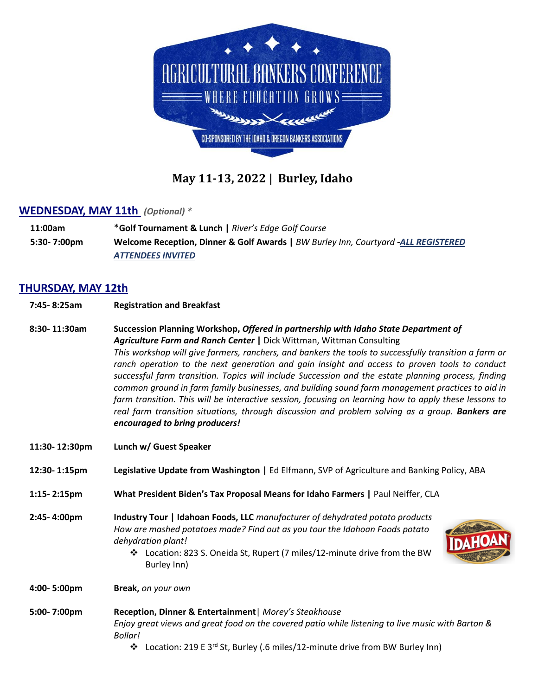

# **May 11-13, 2022 | Burley, Idaho**

#### **WEDNESDAY, MAY 11th** *(Optional) \**

**11:00am** \***Golf Tournament & Lunch |** *River's Edge Golf Course* **5:30- 7:00pm Welcome Reception, Dinner & Golf Awards |** *BW Burley Inn, Courtyard -ALL REGISTERED ATTENDEES INVITED*

### **THURSDAY, MAY 12th**

- **7:45- 8:25am Registration and Breakfast**
- **8:30- 11:30am Succession Planning Workshop,** *Offered in partnership with Idaho State Department of Agriculture Farm and Ranch Center* **|** Dick Wittman, Wittman Consulting *This workshop will give farmers, ranchers, and bankers the tools to successfully transition a farm or ranch operation to the next generation and gain insight and access to proven tools to conduct successful farm transition. Topics will include Succession and the estate planning process, finding common ground in farm family businesses, and building sound farm management practices to aid in farm transition. This will be interactive session, focusing on learning how to apply these lessons to real farm transition situations, through discussion and problem solving as a group. Bankers are encouraged to bring producers!*
- **11:30- 12:30pm Lunch w/ Guest Speaker**
- **12:30- 1:15pm Legislative Update from Washington |** Ed Elfmann, SVP of Agriculture and Banking Policy, ABA
- **1:15- 2:15pm What President Biden's Tax Proposal Means for Idaho Farmers |** Paul Neiffer, CLA
- **2:45- 4:00pm Industry Tour | Idahoan Foods, LLC** *manufacturer of dehydrated potato products How are mashed potatoes made? Find out as you tour the Idahoan Foods potato dehydration plant!*



❖ Location: 823 S. Oneida St, Rupert (7 miles/12-minute drive from the BW Burley Inn)

**4:00- 5:00pm Break,** *on your own*

- **5:00- 7:00pm Reception, Dinner & Entertainment**| *Morey's Steakhouse Enjoy great views and great food on the covered patio while listening to live music with Barton & Bollar!*
	- ❖ Location: 219 E 3rd St, Burley (.6 miles/12-minute drive from BW Burley Inn)